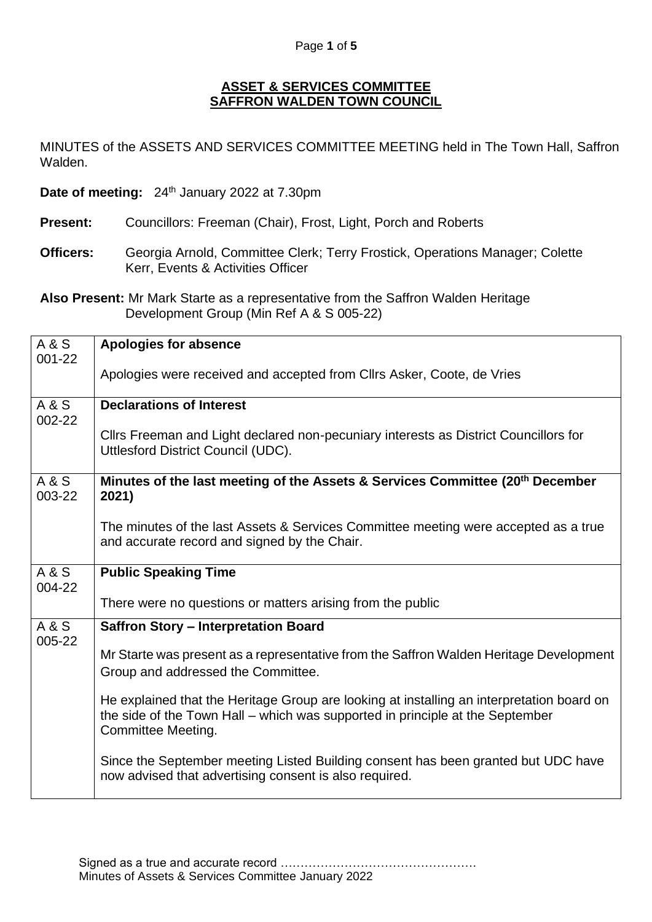## **ASSET & SERVICES COMMITTEE SAFFRON WALDEN TOWN COUNCIL**

MINUTES of the ASSETS AND SERVICES COMMITTEE MEETING held in The Town Hall, Saffron Walden.

**Date of meeting:** 24<sup>th</sup> January 2022 at 7.30pm

- **Present:** Councillors: Freeman (Chair), Frost, Light, Porch and Roberts
- **Officers:** Georgia Arnold, Committee Clerk; Terry Frostick, Operations Manager; Colette Kerr, Events & Activities Officer

**Also Present:** Mr Mark Starte as a representative from the Saffron Walden Heritage Development Group (Min Ref A & S 005-22)

| A & S<br>$001 - 22$ | <b>Apologies for absence</b>                                                                                                                                                                     |
|---------------------|--------------------------------------------------------------------------------------------------------------------------------------------------------------------------------------------------|
|                     | Apologies were received and accepted from Cllrs Asker, Coote, de Vries                                                                                                                           |
| A & S<br>002-22     | <b>Declarations of Interest</b>                                                                                                                                                                  |
|                     | Cllrs Freeman and Light declared non-pecuniary interests as District Councillors for<br>Uttlesford District Council (UDC).                                                                       |
| A & S<br>003-22     | Minutes of the last meeting of the Assets & Services Committee (20 <sup>th</sup> December<br>2021)                                                                                               |
|                     | The minutes of the last Assets & Services Committee meeting were accepted as a true<br>and accurate record and signed by the Chair.                                                              |
| A & S<br>004-22     | <b>Public Speaking Time</b>                                                                                                                                                                      |
|                     | There were no questions or matters arising from the public                                                                                                                                       |
| A & S<br>005-22     | <b>Saffron Story - Interpretation Board</b>                                                                                                                                                      |
|                     | Mr Starte was present as a representative from the Saffron Walden Heritage Development<br>Group and addressed the Committee.                                                                     |
|                     | He explained that the Heritage Group are looking at installing an interpretation board on<br>the side of the Town Hall – which was supported in principle at the September<br>Committee Meeting. |
|                     | Since the September meeting Listed Building consent has been granted but UDC have<br>now advised that advertising consent is also required.                                                      |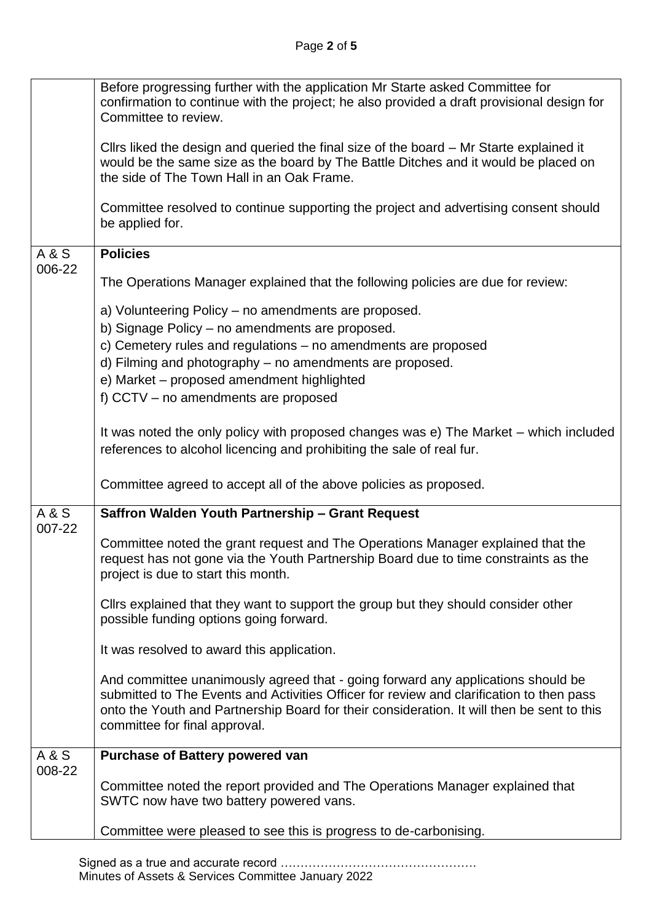| Cllrs liked the design and queried the final size of the board – Mr Starte explained it<br>would be the same size as the board by The Battle Ditches and it would be placed on<br>the side of The Town Hall in an Oak Frame.                                                                                |
|-------------------------------------------------------------------------------------------------------------------------------------------------------------------------------------------------------------------------------------------------------------------------------------------------------------|
|                                                                                                                                                                                                                                                                                                             |
| Committee resolved to continue supporting the project and advertising consent should<br>be applied for.                                                                                                                                                                                                     |
| <b>Policies</b><br>A & S                                                                                                                                                                                                                                                                                    |
| 006-22<br>The Operations Manager explained that the following policies are due for review:                                                                                                                                                                                                                  |
| a) Volunteering Policy – no amendments are proposed.<br>b) Signage Policy - no amendments are proposed.                                                                                                                                                                                                     |
| c) Cemetery rules and regulations – no amendments are proposed                                                                                                                                                                                                                                              |
| d) Filming and photography – no amendments are proposed.                                                                                                                                                                                                                                                    |
| e) Market - proposed amendment highlighted                                                                                                                                                                                                                                                                  |
| f) CCTV - no amendments are proposed                                                                                                                                                                                                                                                                        |
| It was noted the only policy with proposed changes was e) The Market – which included<br>references to alcohol licencing and prohibiting the sale of real fur.                                                                                                                                              |
| Committee agreed to accept all of the above policies as proposed.                                                                                                                                                                                                                                           |
| <b>A&amp;S</b><br>Saffron Walden Youth Partnership - Grant Request                                                                                                                                                                                                                                          |
| 007-22<br>Committee noted the grant request and The Operations Manager explained that the<br>request has not gone via the Youth Partnership Board due to time constraints as the<br>project is due to start this month.                                                                                     |
| Clirs explained that they want to support the group but they should consider other<br>possible funding options going forward.                                                                                                                                                                               |
| It was resolved to award this application.                                                                                                                                                                                                                                                                  |
| And committee unanimously agreed that - going forward any applications should be<br>submitted to The Events and Activities Officer for review and clarification to then pass<br>onto the Youth and Partnership Board for their consideration. It will then be sent to this<br>committee for final approval. |
| A & S<br><b>Purchase of Battery powered van</b>                                                                                                                                                                                                                                                             |
| 008-22<br>Committee noted the report provided and The Operations Manager explained that<br>SWTC now have two battery powered vans.                                                                                                                                                                          |
| Committee were pleased to see this is progress to de-carbonising.                                                                                                                                                                                                                                           |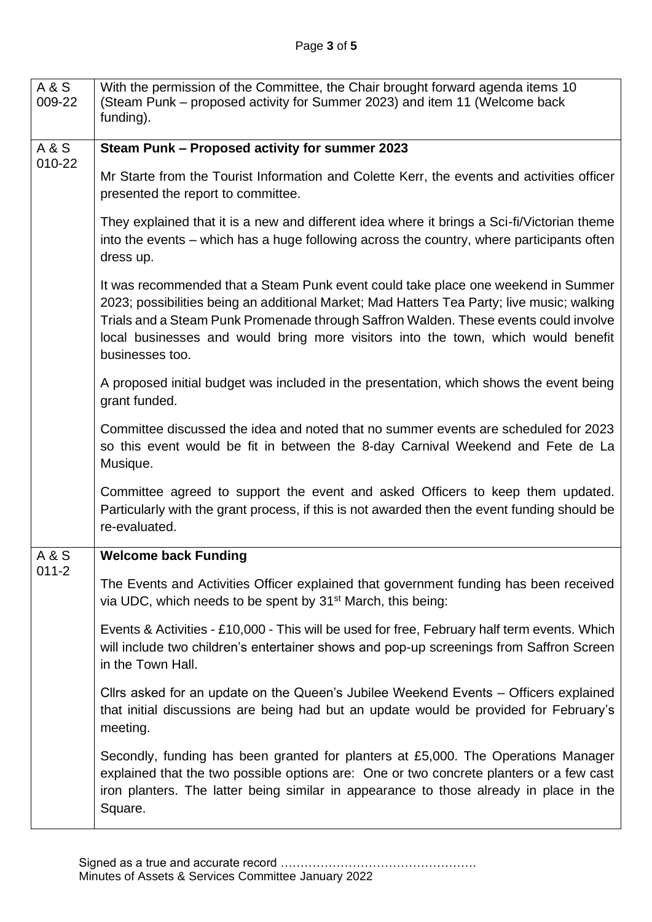| A & S<br>009-22    | With the permission of the Committee, the Chair brought forward agenda items 10<br>(Steam Punk – proposed activity for Summer 2023) and item 11 (Welcome back<br>funding).                                                                                                                                                                                                      |
|--------------------|---------------------------------------------------------------------------------------------------------------------------------------------------------------------------------------------------------------------------------------------------------------------------------------------------------------------------------------------------------------------------------|
| A & S<br>010-22    | Steam Punk - Proposed activity for summer 2023                                                                                                                                                                                                                                                                                                                                  |
|                    | Mr Starte from the Tourist Information and Colette Kerr, the events and activities officer<br>presented the report to committee.                                                                                                                                                                                                                                                |
|                    | They explained that it is a new and different idea where it brings a Sci-fi/Victorian theme<br>into the events – which has a huge following across the country, where participants often<br>dress up.                                                                                                                                                                           |
|                    | It was recommended that a Steam Punk event could take place one weekend in Summer<br>2023; possibilities being an additional Market; Mad Hatters Tea Party; live music; walking<br>Trials and a Steam Punk Promenade through Saffron Walden. These events could involve<br>local businesses and would bring more visitors into the town, which would benefit<br>businesses too. |
|                    | A proposed initial budget was included in the presentation, which shows the event being<br>grant funded.                                                                                                                                                                                                                                                                        |
|                    | Committee discussed the idea and noted that no summer events are scheduled for 2023<br>so this event would be fit in between the 8-day Carnival Weekend and Fete de La<br>Musique.                                                                                                                                                                                              |
|                    | Committee agreed to support the event and asked Officers to keep them updated.<br>Particularly with the grant process, if this is not awarded then the event funding should be<br>re-evaluated.                                                                                                                                                                                 |
| A & S<br>$011 - 2$ | <b>Welcome back Funding</b>                                                                                                                                                                                                                                                                                                                                                     |
|                    | The Events and Activities Officer explained that government funding has been received<br>via UDC, which needs to be spent by 31 <sup>st</sup> March, this being:                                                                                                                                                                                                                |
|                    | Events & Activities - £10,000 - This will be used for free, February half term events. Which<br>will include two children's entertainer shows and pop-up screenings from Saffron Screen<br>in the Town Hall.                                                                                                                                                                    |
|                    | Cllrs asked for an update on the Queen's Jubilee Weekend Events – Officers explained<br>that initial discussions are being had but an update would be provided for February's<br>meeting.                                                                                                                                                                                       |
|                    | Secondly, funding has been granted for planters at £5,000. The Operations Manager<br>explained that the two possible options are: One or two concrete planters or a few cast<br>iron planters. The latter being similar in appearance to those already in place in the<br>Square.                                                                                               |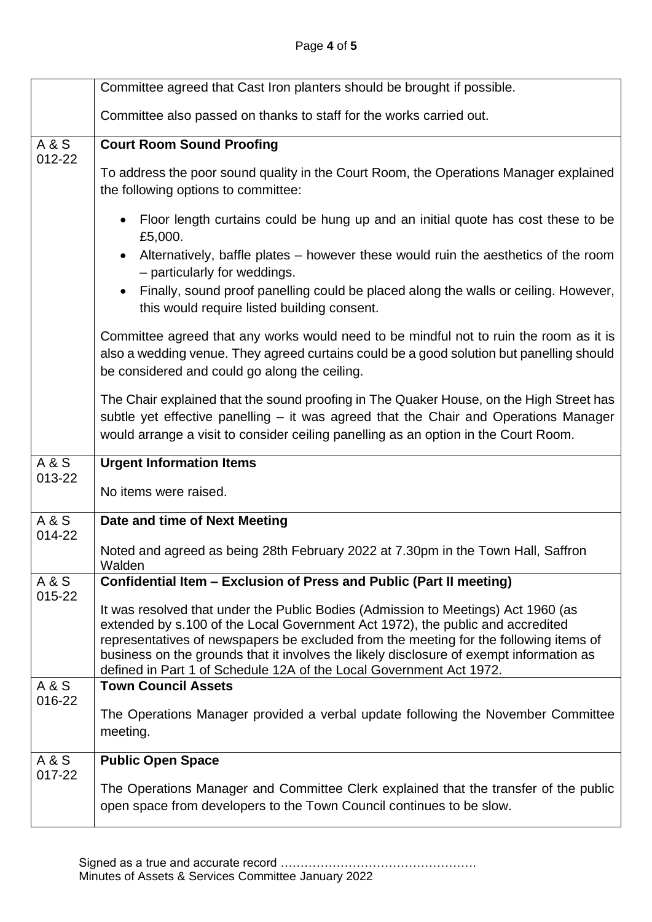|                 | Committee agreed that Cast Iron planters should be brought if possible.                                                                                                                                                                                                                                                                                                                                                        |
|-----------------|--------------------------------------------------------------------------------------------------------------------------------------------------------------------------------------------------------------------------------------------------------------------------------------------------------------------------------------------------------------------------------------------------------------------------------|
|                 | Committee also passed on thanks to staff for the works carried out.                                                                                                                                                                                                                                                                                                                                                            |
| A & S           | <b>Court Room Sound Proofing</b>                                                                                                                                                                                                                                                                                                                                                                                               |
| 012-22          | To address the poor sound quality in the Court Room, the Operations Manager explained<br>the following options to committee:                                                                                                                                                                                                                                                                                                   |
|                 | Floor length curtains could be hung up and an initial quote has cost these to be<br>£5,000.                                                                                                                                                                                                                                                                                                                                    |
|                 | Alternatively, baffle plates – however these would ruin the aesthetics of the room<br>$\bullet$<br>- particularly for weddings.                                                                                                                                                                                                                                                                                                |
|                 | Finally, sound proof panelling could be placed along the walls or ceiling. However,<br>$\bullet$<br>this would require listed building consent.                                                                                                                                                                                                                                                                                |
|                 | Committee agreed that any works would need to be mindful not to ruin the room as it is<br>also a wedding venue. They agreed curtains could be a good solution but panelling should<br>be considered and could go along the ceiling.                                                                                                                                                                                            |
|                 | The Chair explained that the sound proofing in The Quaker House, on the High Street has<br>subtle yet effective panelling - it was agreed that the Chair and Operations Manager<br>would arrange a visit to consider ceiling panelling as an option in the Court Room.                                                                                                                                                         |
| <b>A&amp;S</b>  | <b>Urgent Information Items</b>                                                                                                                                                                                                                                                                                                                                                                                                |
| 013-22          | No items were raised.                                                                                                                                                                                                                                                                                                                                                                                                          |
| A & S<br>014-22 | Date and time of Next Meeting                                                                                                                                                                                                                                                                                                                                                                                                  |
|                 | Noted and agreed as being 28th February 2022 at 7.30pm in the Town Hall, Saffron<br>Walden                                                                                                                                                                                                                                                                                                                                     |
| A & S<br>015-22 | Confidential Item - Exclusion of Press and Public (Part II meeting)                                                                                                                                                                                                                                                                                                                                                            |
|                 | It was resolved that under the Public Bodies (Admission to Meetings) Act 1960 (as<br>extended by s.100 of the Local Government Act 1972), the public and accredited<br>representatives of newspapers be excluded from the meeting for the following items of<br>business on the grounds that it involves the likely disclosure of exempt information as<br>defined in Part 1 of Schedule 12A of the Local Government Act 1972. |
| A & S           | <b>Town Council Assets</b>                                                                                                                                                                                                                                                                                                                                                                                                     |
| 016-22          | The Operations Manager provided a verbal update following the November Committee<br>meeting.                                                                                                                                                                                                                                                                                                                                   |
| A & S           | <b>Public Open Space</b>                                                                                                                                                                                                                                                                                                                                                                                                       |
| 017-22          | The Operations Manager and Committee Clerk explained that the transfer of the public<br>open space from developers to the Town Council continues to be slow.                                                                                                                                                                                                                                                                   |